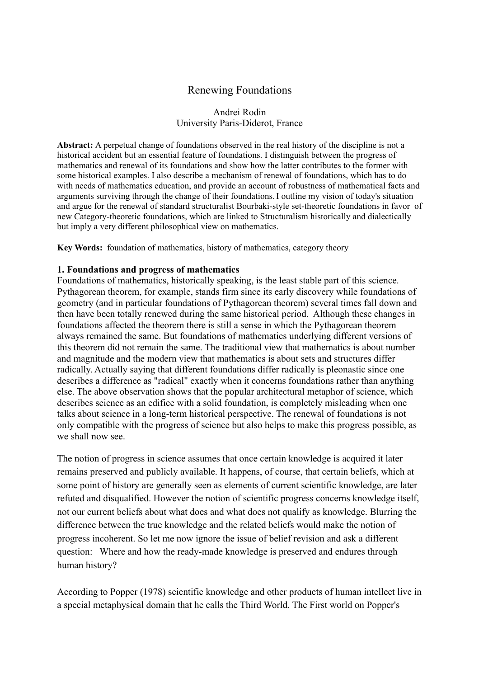# Renewing Foundations

## Andrei Rodin University Paris-Diderot, France

**Abstract:** A perpetual change of foundations observed in the real history of the discipline is not a historical accident but an essential feature of foundations. I distinguish between the progress of mathematics and renewal of its foundations and show how the latter contributes to the former with some historical examples. I also describe a mechanism of renewal of foundations, which has to do with needs of mathematics education, and provide an account of robustness of mathematical facts and arguments surviving through the change of their foundations. I outline my vision of today's situation and argue for the renewal of standard structuralist Bourbaki-style set-theoretic foundations in favor of new Category-theoretic foundations, which are linked to Structuralism historically and dialectically but imply a very different philosophical view on mathematics.

**Key Words:** foundation of mathematics, history of mathematics, category theory

#### **1. Foundations and progress of mathematics**

Foundations of mathematics, historically speaking, is the least stable part of this science. Pythagorean theorem, for example, stands firm since its early discovery while foundations of geometry (and in particular foundations of Pythagorean theorem) several times fall down and then have been totally renewed during the same historical period. Although these changes in foundations affected the theorem there is still a sense in which the Pythagorean theorem always remained the same. But foundations of mathematics underlying different versions of this theorem did not remain the same. The traditional view that mathematics is about number and magnitude and the modern view that mathematics is about sets and structures differ radically. Actually saying that different foundations differ radically is pleonastic since one describes a difference as "radical" exactly when it concerns foundations rather than anything else. The above observation shows that the popular architectural metaphor of science, which describes science as an edifice with a solid foundation, is completely misleading when one talks about science in a long-term historical perspective. The renewal of foundations is not only compatible with the progress of science but also helps to make this progress possible, as we shall now see.

The notion of progress in science assumes that once certain knowledge is acquired it later remains preserved and publicly available. It happens, of course, that certain beliefs, which at some point of history are generally seen as elements of current scientific knowledge, are later refuted and disqualified. However the notion of scientific progress concerns knowledge itself, not our current beliefs about what does and what does not qualify as knowledge. Blurring the difference between the true knowledge and the related beliefs would make the notion of progress incoherent. So let me now ignore the issue of belief revision and ask a different question: Where and how the ready-made knowledge is preserved and endures through human history?

According to Popper (1978) scientific knowledge and other products of human intellect live in a special metaphysical domain that he calls the Third World. The First world on Popper's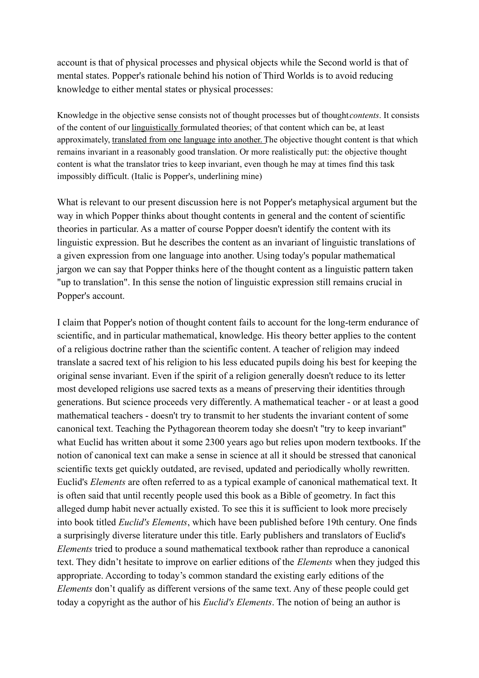account is that of physical processes and physical objects while the Second world is that of mental states. Popper's rationale behind his notion of Third Worlds is to avoid reducing knowledge to either mental states or physical processes:

Knowledge in the objective sense consists not of thought processes but of thought *contents*. It consists of the content of our linguistically formulated theories; of that content which can be, at least approximately, translated from one language into another. The objective thought content is that which remains invariant in a reasonably good translation. Or more realistically put: the objective thought content is what the translator tries to keep invariant, even though he may at times find this task impossibly difficult. (Italic is Popper's, underlining mine)

What is relevant to our present discussion here is not Popper's metaphysical argument but the way in which Popper thinks about thought contents in general and the content of scientific theories in particular. As a matter of course Popper doesn't identify the content with its linguistic expression. But he describes the content as an invariant of linguistic translations of a given expression from one language into another. Using today's popular mathematical jargon we can say that Popper thinks here of the thought content as a linguistic pattern taken "up to translation". In this sense the notion of linguistic expression still remains crucial in Popper's account.

I claim that Popper's notion of thought content fails to account for the long-term endurance of scientific, and in particular mathematical, knowledge. His theory better applies to the content of a religious doctrine rather than the scientific content. A teacher of religion may indeed translate a sacred text of his religion to his less educated pupils doing his best for keeping the original sense invariant. Even if the spirit of a religion generally doesn't reduce to its letter most developed religions use sacred texts as a means of preserving their identities through generations. But science proceeds very differently. A mathematical teacher - or at least a good mathematical teachers - doesn't try to transmit to her students the invariant content of some canonical text. Teaching the Pythagorean theorem today she doesn't "try to keep invariant" what Euclid has written about it some 2300 years ago but relies upon modern textbooks. If the notion of canonical text can make a sense in science at all it should be stressed that canonical scientific texts get quickly outdated, are revised, updated and periodically wholly rewritten. Euclid's *Elements* are often referred to as a typical example of canonical mathematical text. It is often said that until recently people used this book as a Bible of geometry. In fact this alleged dump habit never actually existed. To see this it is sufficient to look more precisely into book titled *Euclid's Elements*, which have been published before 19th century. One finds a surprisingly diverse literature under this title. Early publishers and translators of Euclid's *Elements* tried to produce a sound mathematical textbook rather than reproduce a canonical text. They didn't hesitate to improve on earlier editions of the *Elements* when they judged this appropriate. According to today's common standard the existing early editions of the *Elements* don't qualify as different versions of the same text. Any of these people could get today a copyright as the author of his *Euclid's Elements*. The notion of being an author is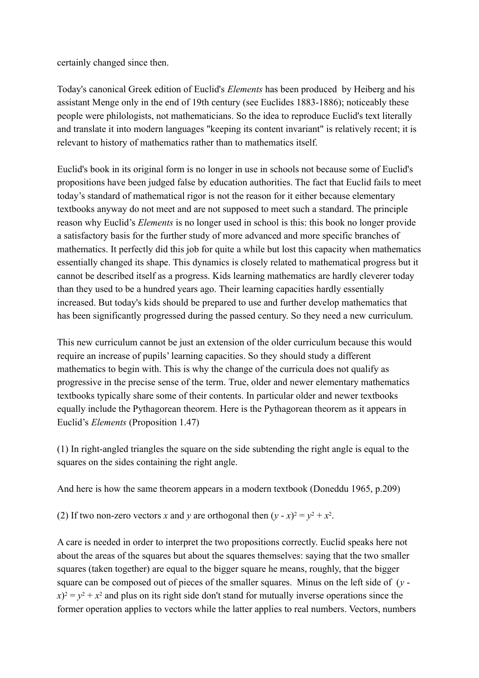certainly changed since then.

Today's canonical Greek edition of Euclid's *Elements* has been produced by Heiberg and his assistant Menge only in the end of 19th century (see Euclides 1883-1886); noticeably these people were philologists, not mathematicians. So the idea to reproduce Euclid's text literally and translate it into modern languages "keeping its content invariant" is relatively recent; it is relevant to history of mathematics rather than to mathematics itself.

Euclid's book in its original form is no longer in use in schools not because some of Euclid's propositions have been judged false by education authorities. The fact that Euclid fails to meet today's standard of mathematical rigor is not the reason for it either because elementary textbooks anyway do not meet and are not supposed to meet such a standard. The principle reason why Euclid's *Elements* is no longer used in school is this: this book no longer provide a satisfactory basis for the further study of more advanced and more specific branches of mathematics. It perfectly did this job for quite a while but lost this capacity when mathematics essentially changed its shape. This dynamics is closely related to mathematical progress but it cannot be described itself as a progress. Kids learning mathematics are hardly cleverer today than they used to be a hundred years ago. Their learning capacities hardly essentially increased. But today's kids should be prepared to use and further develop mathematics that has been significantly progressed during the passed century. So they need a new curriculum.

This new curriculum cannot be just an extension of the older curriculum because this would require an increase of pupils' learning capacities. So they should study a different mathematics to begin with. This is why the change of the curricula does not qualify as progressive in the precise sense of the term. True, older and newer elementary mathematics textbooks typically share some of their contents. In particular older and newer textbooks equally include the Pythagorean theorem. Here is the Pythagorean theorem as it appears in Euclid's *Elements* (Proposition 1.47)

(1) In right-angled triangles the square on the side subtending the right angle is equal to the squares on the sides containing the right angle.

And here is how the same theorem appears in a modern textbook (Doneddu 1965, p.209)

(2) If two non-zero vectors *x* and *y* are orthogonal then  $(y - x)^2 = y^2 + x^2$ .

A care is needed in order to interpret the two propositions correctly. Euclid speaks here not about the areas of the squares but about the squares themselves: saying that the two smaller squares (taken together) are equal to the bigger square he means, roughly, that the bigger square can be composed out of pieces of the smaller squares. Minus on the left side of (*y*   $f(x) = y^2 + x^2$  and plus on its right side don't stand for mutually inverse operations since the former operation applies to vectors while the latter applies to real numbers. Vectors, numbers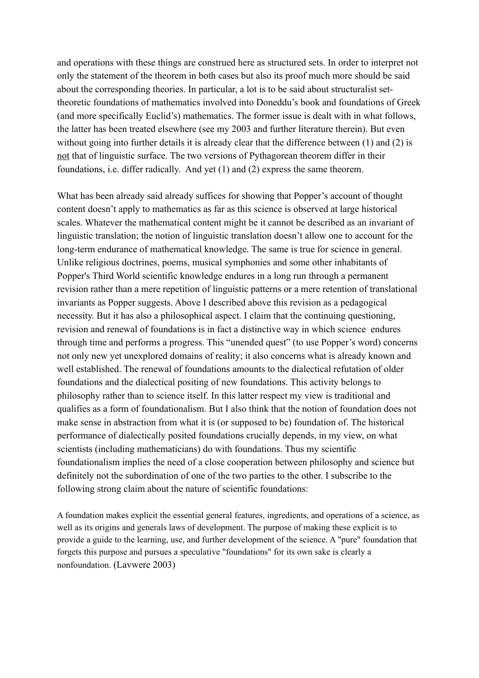and operations with these things are construed here as structured sets. In order to interpret not only the statement of the theorem in both cases but also its proof much more should be said about the corresponding theories. In particular, a lot is to be said about structuralist settheoretic foundations of mathematics involved into Doneddu's book and foundations of Greek (and more specifically Euclid's) mathematics. The former issue is dealt with in what follows, the latter has been treated elsewhere (see my 2003 and further literature therein). But even without going into further details it is already clear that the difference between (1) and (2) is not that of linguistic surface. The two versions of Pythagorean theorem differ in their foundations, i.e. differ radically. And yet (1) and (2) express the same theorem.

What has been already said already suffices for showing that Popper's account of thought content doesn't apply to mathematics as far as this science is observed at large historical scales. Whatever the mathematical content might be it cannot be described as an invariant of linguistic translation; the notion of linguistic translation doesn't allow one to account for the long-term endurance of mathematical knowledge. The same is true for science in general. Unlike religious doctrines, poems, musical symphonies and some other inhabitants of Popper's Third World scientific knowledge endures in a long run through a permanent revision rather than a mere repetition of linguistic patterns or a mere retention of translational invariants as Popper suggests. Above I described above this revision as a pedagogical necessity. But it has also a philosophical aspect. I claim that the continuing questioning, revision and renewal of foundations is in fact a distinctive way in which science endures through time and performs a progress. This "unended quest" (to use Popper's word) concerns not only new yet unexplored domains of reality; it also concerns what is already known and well established. The renewal of foundations amounts to the dialectical refutation of older foundations and the dialectical positing of new foundations. This activity belongs to philosophy rather than to science itself. In this latter respect my view is traditional and qualifies as a form of foundationalism. But I also think that the notion of foundation does not make sense in abstraction from what it is (or supposed to be) foundation of. The historical performance of dialectically posited foundations crucially depends, in my view, on what scientists (including mathematicians) do with foundations. Thus my scientific foundationalism implies the need of a close cooperation between philosophy and science but definitely not the subordination of one of the two parties to the other. I subscribe to the following strong claim about the nature of scientific foundations:

A foundation makes explicit the essential general features, ingredients, and operations of a science, as well as its origins and generals laws of development. The purpose of making these explicit is to provide a guide to the learning, use, and further development of the science. A "pure" foundation that forgets this purpose and pursues a speculative "foundations" for its own sake is clearly a nonfoundation. (Lavwere 2003)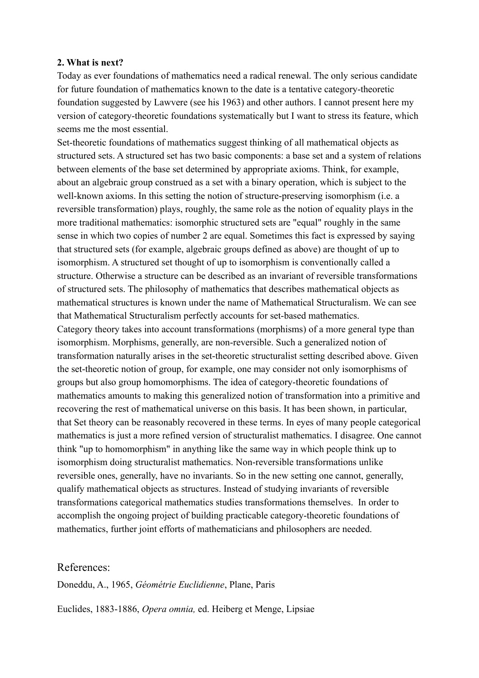## **2. What is next?**

Today as ever foundations of mathematics need a radical renewal. The only serious candidate for future foundation of mathematics known to the date is a tentative category-theoretic foundation suggested by Lawvere (see his 1963) and other authors. I cannot present here my version of category-theoretic foundations systematically but I want to stress its feature, which seems me the most essential.

Set-theoretic foundations of mathematics suggest thinking of all mathematical objects as structured sets. A structured set has two basic components: a base set and a system of relations between elements of the base set determined by appropriate axioms. Think, for example, about an algebraic group construed as a set with a binary operation, which is subject to the well-known axioms. In this setting the notion of structure-preserving isomorphism (i.e. a reversible transformation) plays, roughly, the same role as the notion of equality plays in the more traditional mathematics: isomorphic structured sets are "equal" roughly in the same sense in which two copies of number 2 are equal. Sometimes this fact is expressed by saying that structured sets (for example, algebraic groups defined as above) are thought of up to isomorphism. A structured set thought of up to isomorphism is conventionally called a structure. Otherwise a structure can be described as an invariant of reversible transformations of structured sets. The philosophy of mathematics that describes mathematical objects as mathematical structures is known under the name of Mathematical Structuralism. We can see that Mathematical Structuralism perfectly accounts for set-based mathematics. Category theory takes into account transformations (morphisms) of a more general type than isomorphism. Morphisms, generally, are non-reversible. Such a generalized notion of transformation naturally arises in the set-theoretic structuralist setting described above. Given the set-theoretic notion of group, for example, one may consider not only isomorphisms of groups but also group homomorphisms. The idea of category-theoretic foundations of mathematics amounts to making this generalized notion of transformation into a primitive and recovering the rest of mathematical universe on this basis. It has been shown, in particular, that Set theory can be reasonably recovered in these terms. In eyes of many people categorical mathematics is just a more refined version of structuralist mathematics. I disagree. One cannot think "up to homomorphism" in anything like the same way in which people think up to isomorphism doing structuralist mathematics. Non-reversible transformations unlike reversible ones, generally, have no invariants. So in the new setting one cannot, generally, qualify mathematical objects as structures. Instead of studying invariants of reversible transformations categorical mathematics studies transformations themselves. In order to accomplish the ongoing project of building practicable category-theoretic foundations of mathematics, further joint efforts of mathematicians and philosophers are needed.

# References:

Doneddu, A., 1965, *Géométrie Euclidienne*, Plane, Paris

Euclides, 1883-1886, *Opera omnia,* ed. Heiberg et Menge, Lipsiae